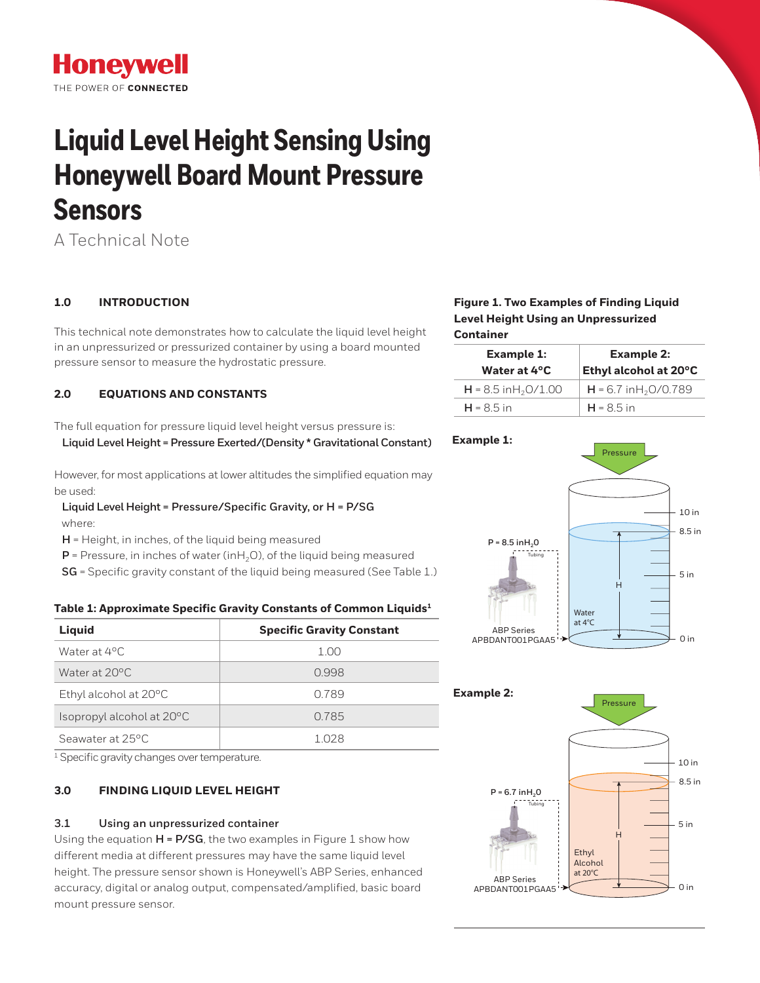# **Honeywell** THE POWER OF CONNECTED

# **Liquid Level Height Sensing Using Honeywell Board Mount Pressure Sensors**

A Technical Note

# **1.0 INTRODUCTION**

This technical note demonstrates how to calculate the liquid level height in an unpressurized or pressurized container by using a board mounted pressure sensor to measure the hydrostatic pressure.

# **2.0 EQUATIONS AND CONSTANTS**

The full equation for pressure liquid level height versus pressure is:

 **Liquid Level Height = Pressure Exerted/(Density \* Gravitational Constant)**

However, for most applications at lower altitudes the simplified equation may be used:

 **Liquid Level Height = Pressure/Specific Gravity, or H = P/SG**  where:

**H** = Height, in inches, of the liquid being measured

 $P =$  Pressure, in inches of water (inH<sub>2</sub>O), of the liquid being measured

**SG** = Specific gravity constant of the liquid being measured (See Table 1.)

# **Table 1: Approximate Specific Gravity Constants of Common Liquids1**

| Liquid                          | <b>Specific Gravity Constant</b> |
|---------------------------------|----------------------------------|
| Water at 4°C.                   | 1.00                             |
| Water at 20°C                   | 0.998                            |
| Ethyl alcohol at $20^{\circ}$ C | 0.789                            |
| Isopropyl alcohol at 20°C       | 0.785                            |
| Seawater at 25 °C.              | 1 028                            |

<sup>1</sup> Specific gravity changes over temperature.

# **3.0 FINDING LIQUID LEVEL HEIGHT**

# **3.1 Using an unpressurized container**

Using the equation **H = P/SG**, the two examples in Figure 1 show how different media at different pressures may have the same liquid level height. The pressure sensor shown is Honeywell's ABP Series, enhanced accuracy, digital or analog output, compensated/amplified, basic board mount pressure sensor.

# **Figure 1. Two Examples of Finding Liquid Level Height Using an Unpressurized Container**

| <b>Example 1:</b><br>Water at 4°C  | <b>Example 2:</b><br>Ethyl alcohol at 20°C |
|------------------------------------|--------------------------------------------|
| $H = 8.5$ in H <sub>2</sub> O/1.00 | $H = 6.7$ in H <sub>2</sub> O/0.789        |
| $H = 8.5$ in                       | $H = 8.5$ in                               |



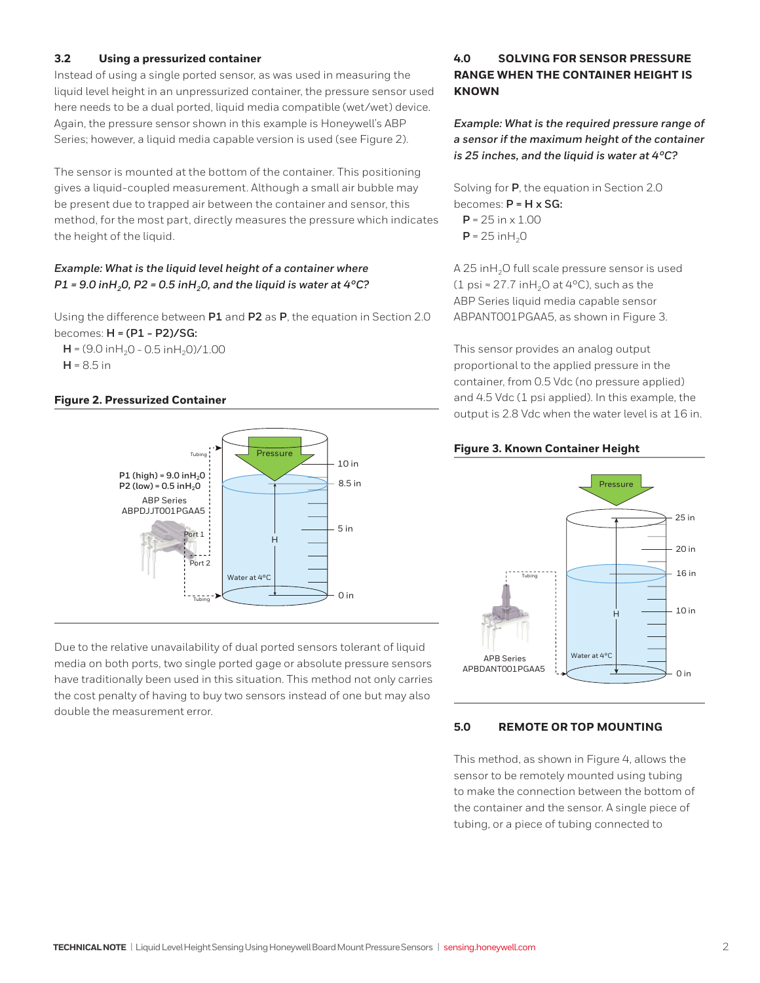## **3.2 Using a pressurized container**

Instead of using a single ported sensor, as was used in measuring the liquid level height in an unpressurized container, the pressure sensor used here needs to be a dual ported, liquid media compatible (wet/wet) device. Again, the pressure sensor shown in this example is Honeywell's ABP Series; however, a liquid media capable version is used (see Figure 2).

The sensor is mounted at the bottom of the container. This positioning gives a liquid-coupled measurement. Although a small air bubble may be present due to trapped air between the container and sensor, this method, for the most part, directly measures the pressure which indicates the height of the liquid.

# *Example: What is the liquid level height of a container where P1* = 9.0 inH<sub>2</sub>,0, P2 = 0.5 inH<sub>2</sub>,0, and the liquid is water at 4°C?

Using the difference between **P1** and **P2** as **P**, the equation in Section 2.0 becomes: **H = (P1 - P2)/SG:**

 $H = (9.0 \text{ inH}_2O - 0.5 \text{ inH}_2O)/1.00$  $H = 8.5$  in

## **Figure 2. Pressurized Container**



Due to the relative unavailability of dual ported sensors tolerant of liquid media on both ports, two single ported gage or absolute pressure sensors have traditionally been used in this situation. This method not only carries the cost penalty of having to buy two sensors instead of one but may also double the measurement error.

# **4.0 SOLVING FOR SENSOR PRESSURE RANGE WHEN THE CONTAINER HEIGHT IS KNOWN**

*Example: What is the required pressure range of a sensor if the maximum height of the container is 25 inches, and the liquid is water at 4°C?*

Solving for **P**, the equation in Section 2.0 becomes: **P = H x SG:**  $P = 25 in \times 1.00$  $P = 25$  in H<sub>2</sub>O

A 25 inH<sub>2</sub>O full scale pressure sensor is used (1 psi ≈ 27.7 inH<sub>2</sub>O at 4°C), such as the ABP Series liquid media capable sensor ABPANT001PGAA5, as shown in Figure 3.

This sensor provides an analog output proportional to the applied pressure in the container, from 0.5 Vdc (no pressure applied) and 4.5 Vdc (1 psi applied). In this example, the output is 2.8 Vdc when the water level is at 16 in.

#### **Figure 3. Known Container Height**



#### **5.0 REMOTE OR TOP MOUNTING**

This method, as shown in Figure 4, allows the sensor to be remotely mounted using tubing to make the connection between the bottom of the container and the sensor. A single piece of tubing, or a piece of tubing connected to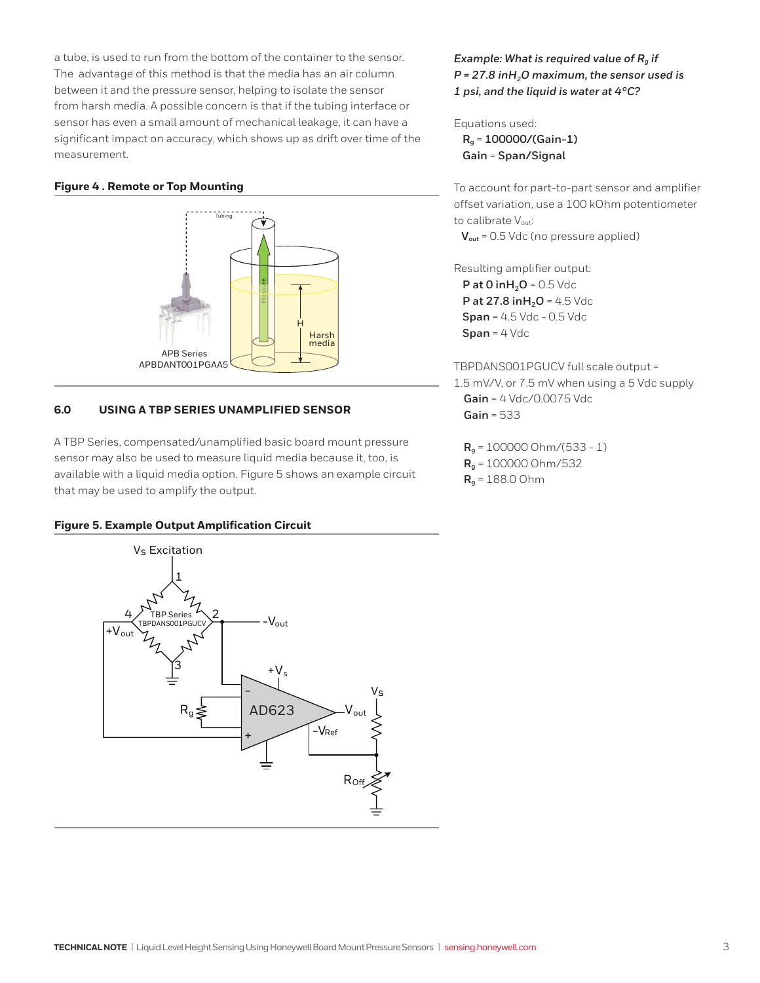a tube, is used to run from the bottom of the container to the sensor. The advantage of this method is that the media has an air column between it and the pressure sensor, helping to isolate the sensor from harsh media. A possible concern is that if the tubing interface or sensor has even a small amount of mechanical leakage, it can have a significant impact on accuracy, which shows up as drift over time of the measurement.

#### **Figure 4 . Remote or Top Mounting**



# **6.0 USING A TBP SERIES UNAMPLIFIED SENSOR**

A TBP Series, compensated/unamplified basic board mount pressure sensor may also be used to measure liquid media because it, too, is available with a liquid media option. Figure 5 shows an example circuit that may be used to amplify the output.

#### **Figure 5. Example Output Amplification Circuit**



# *Example: What is required value of Rg if P* = 27.8 inH<sub>2</sub>O maximum, the sensor used is *1 psi, and the liquid is water at 4°C?*

#### Equations used:

**Rg** = **100000/(Gain-1) Gain** = **Span/Signal**

To account for part-to-part sensor and amplifier offset variation, use a 100 kOhm potentiometer to calibrate Vout: **V**<sub>out</sub> = 0.5 Vdc (no pressure applied)

Resulting amplifier output: **P at 0 inH<sub>2</sub>O** = 0.5 Vdc **P at 27.8 in H<sub>2</sub>O** = 4.5 Vdc **Span** = 4.5 Vdc - 0.5 Vdc **Span** = 4 Vdc

TBPDANS001PGUCV full scale output = 1.5 mV/V, or 7.5 mV when using a 5 Vdc supply **Gain** = 4 Vdc/0.0075 Vdc **Gain** = 533

**Rg** = 100000 Ohm/(533 - 1) **Rg** = 100000 Ohm/532 **Rg** = 188.0 Ohm